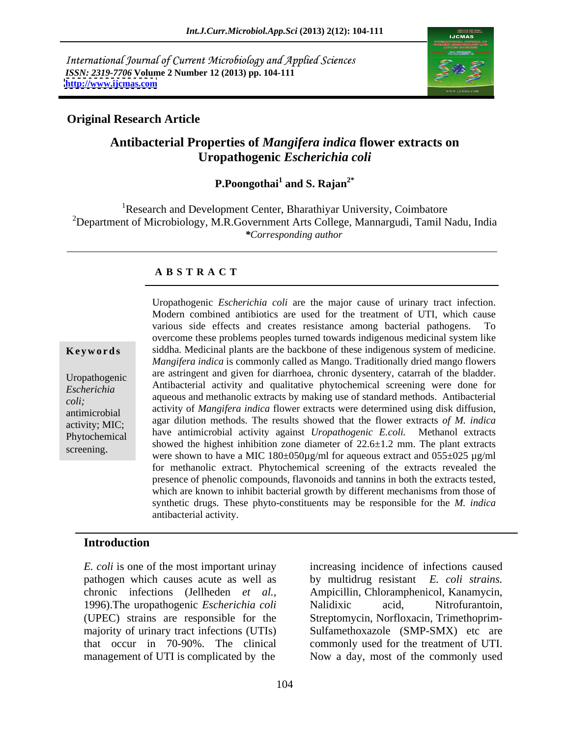International Journal of Current Microbiology and Applied Sciences *ISSN: 2319-7706* **Volume 2 Number 12 (2013) pp. 104-111 <http://www.ijcmas.com>**



### **Original Research Article**

# **Antibacterial Properties of** *Mangifera indica* **flower extracts on Uropathogenic** *Escherichia coli*

P.Poongothai<sup>1</sup> and S. Rajan<sup>2\*</sup>  **and S. Rajan2\***

<sup>1</sup>Research and Development Center, Bharathiyar University, Coimbatore <sup>2</sup>Department of Microbiology, M.R.Government Arts College, Mannargudi, Tamil Nadu, India *\*Corresponding author* 

### **A B S T R A C T**

**Keywords** siddha. Medicinal plants are the backbone of these indigenous system of medicine. Uropathogenic are astringent and given for diarrhoea, chronic dysentery, catarrah of the bladder. *Escherichia*  Antibacterial activity and qualitative phytochemical screening were done for zone hemal aqueous and methanolic extracts by making use of standard methods. Antibacterial and it is a set of standard methods. Antibacterial and it is a set of standard methods. antimicrobial activity of *Mangifera indica* flower extracts were determined using disk diffusion, activity; MIC; agar dilution methods. The results showed that the flower extracts *of M. indica* Phytochemical have anumicropial activity against *cropamogenic E.con*. Methanol extracts Uropathogenic *Escherichia coli* are the major cause of urinary tract infection.<br>
Modern combined antibiotics are used for the treatment of UTI, which cause<br>
various side effects and creates resistance among bacterial pa various side effects and creates resistance among bacterial pathogens. To overcome these problems peoples turned towards indigenous medicinal system like *Mangifera indica* is commonly called as Mango. Traditionally dried mango flowers have antimicrobial activity against *Uropathogenic E.coli.* Methanol extracts showed the highest inhibition zone diameter of 22.6±1.2 mm. The plant extracts were shown to have a MIC 180±050µg/ml for aqueous extract and 055±025 µg/ml for methanolic extract. Phytochemical screening of the extracts revealed the presence of phenolic compounds, flavonoids and tannins in both the extracts tested, which are known to inhibit bacterial growth by different mechanisms from those of synthetic drugs. These phyto-constituents may be responsible for the *M. indica*  antibacterial activity.

### **Introduction**

*E. coli* is one of the most important urinay 1996).The uropathogenic *Escherichia coli* management of UTI is complicated by the Now a day, most of the commonly used

pathogen which causes acute as well as by multidrug resistant *E. coli strains.* chronic infections (Jellheden *et al.,* Ampicillin, Chloramphenicol, Kanamycin, (UPEC) strains are responsible for the Streptomycin, Norfloxacin, Trimethoprim majority of urinary tract infections (UTIs) Sulfamethoxazole (SMP-SMX) etc are that occur in 70-90%. The clinical commonly used for the treatment of UTI. increasing incidence of infections caused Nalidixic acid, Nitrofurantoin,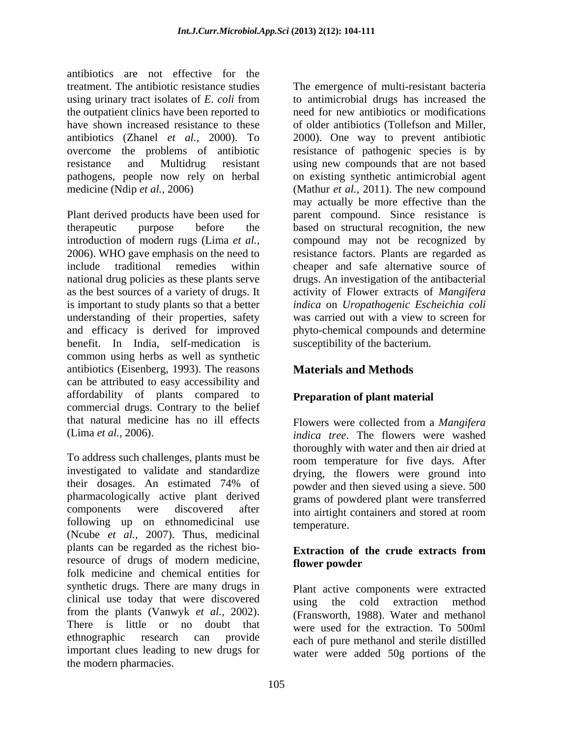antibiotics are not effective for the using urinary tract isolates of *E. coli* from the outpatient clinics have been reported to

Plant derived products have been used for therapeutic purpose before the based on structural recognition, the new introduction of modern rugs (Lima *et al.,* compound may not be recognized by 2006). WHO gave emphasis on the need to resistance factors. Plants are regarded as include traditional remedies within cheaper and safe alternative source of national drug policies as these plants serve drugs. An investigation of the antibacterial as the best sources of a variety of drugs. It activity of Flower extracts of *Mangifera*  is important to study plants so that a better understanding of their properties, safety was carried out with a view to screen for and efficacy is derived for improved phyto-chemical compounds and determine benefit. In India, self-medication is common using herbs as well as synthetic antibiotics (Eisenberg, 1993). The reasons can be attributed to easy accessibility and affordability of plants compared to commercial drugs. Contrary to the belief that natural medicine has no ill effects Flowers were collected from a Mangifera

To address such challenges, plants must be investigated to validate and standardize their dosages. An estimated 74% of  $\frac{1}{2}$  nowder and then sieved using a sieve 500 pharmacologically active plant derived components were discovered after  $\frac{1}{2}$  into airtight containers and stored at room following up on ethnomedicinal use temperature. (Ncube *et al.,* 2007). Thus, medicinal plants can be regarded as the richest bio-<br> **Extraction of the crude extracts from** resource of drugs of modern medicine, flower powder folk medicine and chemical entities for synthetic drugs. There are many drugs in clinical use today that were discovered<br>using the cold extraction method from the plants (Vanwyk *et al.,* 2002). (Fransworth, 1988). Water and methanol There is little or no doubt that were used for the extraction. To 500ml ethnographic research can provide each of pure methanol and sterile distilled important clues leading to new drugs for water were added 50g portions of thethe modern pharmacies.

treatment. The antibiotic resistance studies The emergence of multi-resistant bacteria have shown increased resistance to these of older antibiotics (Tollefson and Miller, antibiotics (Zhanel *et al.,* 2000). To 2000). One way to prevent antibiotic overcome the problems of antibiotic resistance of pathogenic species is by resistance and Multidrug resistant using new compounds that are not based pathogens, people now rely on herbal on existing synthetic antimicrobial agent medicine (Ndip *et al.,* 2006) (Mathur *et al.,* 2011). The new compound to antimicrobial drugs has increased the need for new antibiotics or modifications may actually be more effective than the parent compound. Since resistance is *indica* on *Uropathogenic Escheichia coli* was carried out with a view to screen for susceptibility of the bacterium*.* 

# **Materials and Methods**

# **Preparation of plant material**

(Lima *et al.,* 2006). *indica tree*. The flowers were washed Flowers were collected from a *Mangifera*  thoroughly with water and then air dried at room temperature for five days. After drying, the flowers were ground into powder and then sieved using a sieve. 500 grams of powdered plant were transferred into airtight containers and stored at room temperature.

### **Extraction of the crude extracts from flower powder**

Plant active components were extracted using the cold extraction method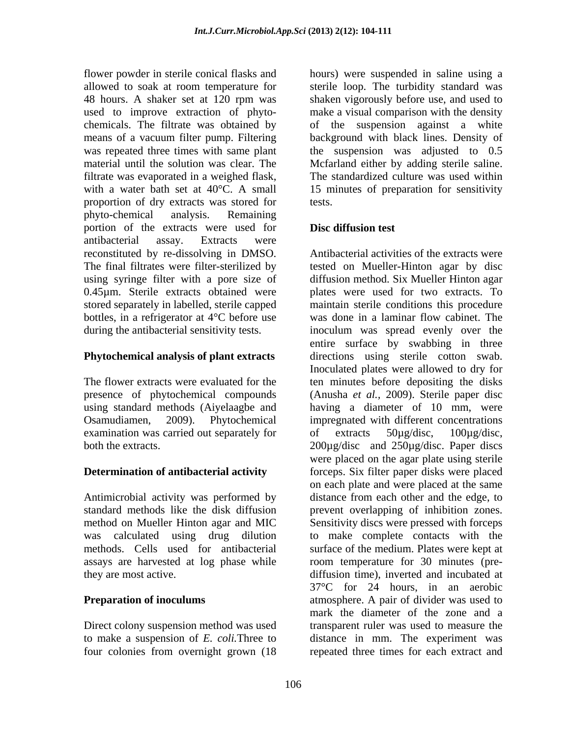allowed to soak at room temperature for means of a vacuum filter pump. Filtering filtrate was evaporated in a weighed flask, with a water bath set at 40°C. A small proportion of dry extracts was stored for phyto-chemical analysis. Remaining portion of the extracts were used for **Disc diffusion test** antibacterial assay. Extracts were reconstituted by re-dissolving in DMSO. stored separately in labelled, sterile capped bottles, in a refrigerator at 4°C before use was done in a laminar flow cabinet. The

## **Phytochemical analysis of plant extracts**

examination was carried out separately for of extracts 50µg/disc, 100µg/disc,

# **Determination of antibacterial activity**

Antimicrobial activity was performed by

Direct colony suspension method was used four colonies from overnight grown (18 repeated three times for each extract and

flower powder in sterile conical flasks and hours) were suspended in saline using a 48 hours. A shaker set at 120 rpm was used to improve extraction of phyto- make a visual comparison with the density chemicals. The filtrate was obtained by of the suspension against a white was repeated three times with same plant the suspension was adjusted to 0.5 material until the solution was clear. The Mcfarland either by adding sterile saline. sterile loop. The turbidity standard was shaken vigorously before use, and used to background with black lines. Density of The standardized culture was used within 15 minutes of preparation for sensitivity tests.

## **Disc diffusion test**

The final filtrates were filter-sterilized by tested on Mueller-Hinton agar by disc using syringe filter with a pore size of diffusion method. Six Mueller Hinton agar 0.45µm. Sterile extracts obtained were plates were used for two extracts. To during the antibacterial sensitivity tests. inoculum was spread evenly over the The flower extracts were evaluated for the ten minutes before depositing the disks presence of phytochemical compounds (Anusha *et al.,* 2009). Sterile paper disc using standard methods (Aiyelaagbe and having a diameter of 10 mm, were Osamudiamen, 2009). Phytochemical impregnated with different concentrations both the extracts. The extracts is the extracts of the extracts. The extracts of the extracts of the extracts of the extracts of the extracts of the extracts of the extracts of the extracts of the extracts of the extracts standard methods like the disk diffusion prevent overlapping of inhibition zones. method on Mueller Hinton agar and MIC Sensitivity discs were pressed with forceps was calculated using drug dilution to make complete contacts with the methods. Cells used for antibacterial surface of the medium. Plates were kept at assays are harvested at log phase while room temperature for 30 minutes (pre they are most active. diffusion time), inverted and incubated at **Preparation of inoculums** atmosphere. A pair of divider was used to to make a suspension of *E. coli.*Three to distance in mm. The experiment was Antibacterial activities of the extracts were maintain sterile conditions this procedure was done in a laminar flow cabinet. The entire surface by swabbing in three directions using sterile cotton swab. Inoculated plates were allowed to dry for of extracts 50µg/disc, 100µg/disc, were placed on the agar plate using sterile forceps. Six filter paper disks were placed on each plate and were placed at the same distance from each other and the edge, to 37°C for 24 hours, in an aerobic mark the diameter of the zone and a transparent ruler was used to measure the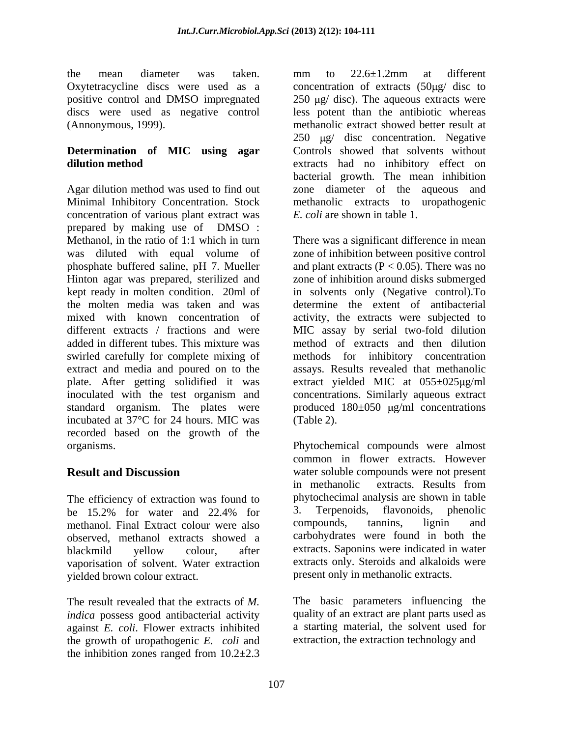Agar dilution method was used to find out zone diameter of the aqueous and Minimal Inhibitory Concentration. Stock methanolic extracts to uropathogenic concentration of various plant extract was prepared by making use of DMSO : Methanol, in the ratio of 1:1 which in turn There was a significant difference in mean was diluted with equal volume of zone of inhibition between positive control phosphate buffered saline, pH 7. Mueller and plant extracts  $(P < 0.05)$ . There was no Hinton agar was prepared, sterilized and zone of inhibition around disks submerged kept ready in molten condition. 20ml of in solvents only (Negative control).To the molten media was taken and was determine the extent of antibacterial mixed with known concentration of activity, the extracts were subjected to different extracts / fractions and were MIC assay by serial two-fold dilution added in different tubes. This mixture was method of extracts and then dilution swirled carefully for complete mixing of extract and media and poured on to the assays. Results revealed that methanolic plate. After getting solidified it was extract yielded MIC at 055±025µg/ml inoculated with the test organism and concentrations. Similarly aqueous extract standard organism. The plates were produced  $180\pm050$   $\mu$ g/ml concentrations incubated at 37°C for 24 hours. MIC was recorded based on the growth of the organisms. Phytochemical compounds were almost

The efficiency of extraction was found to<br>
the 15.2% for water and 22.4% for 3. Terpenoids, flavonoids, phenolic methanol. Final Extract colour were also compounds, tannins, lignin and observed, methanol extracts showed a vaporisation of solvent. Water extraction yielded brown colour extract.

The result revealed that the extracts of *M.*  The basic parameters influencing the *indica* possess good antibacterial activity against *E. coli*. Flower extracts inhibited the growth of uropathogenic *E. coli* and the inhibition zones ranged from  $10.2 \pm 2.3$ 

the mean diameter was taken. mm to  $22.6 \pm 1.2$ mm at different Oxytetracycline discs were used as a concentration of extracts  $(50\mu g/disc)$  to positive control and DMSO impregnated  $250 \text{ µg/disc}$ ). The aqueous extracts were discs were used as negative control less potent than the antibiotic whereas (Annonymous, 1999). methanolic extract showed better result at **Determination of MIC using agar** Controls showed that solvents without **dilution method** extracts had no inhibitory effect on mm to 22.6±1.2mm at different  $250 \text{ \mu g}$  disc concentration. Negative bacterial growth. The mean inhibition *E. coli* are shown in table 1.

> methods for inhibitory concentration (Table 2).

**Result and Discussion** water soluble compounds were not present be 15.2% for water and 22.4% for 3. Terpenoids, flavonoids, phenolic blackmild yellow colour, after extracts. Saponins were indicated in water common in flower extracts. However in methanolic extracts. Results from phytochecimal analysis are shown in table 3. Terpenoids, flavonoids, phenolic compounds, tannins, lignin and carbohydrates were found in both the extracts. Saponins were indicated in water extracts only. Steroids and alkaloids were present only in methanolic extracts.

> quality of an extract are plant parts used as a starting material, the solvent used for extraction, the extraction technology and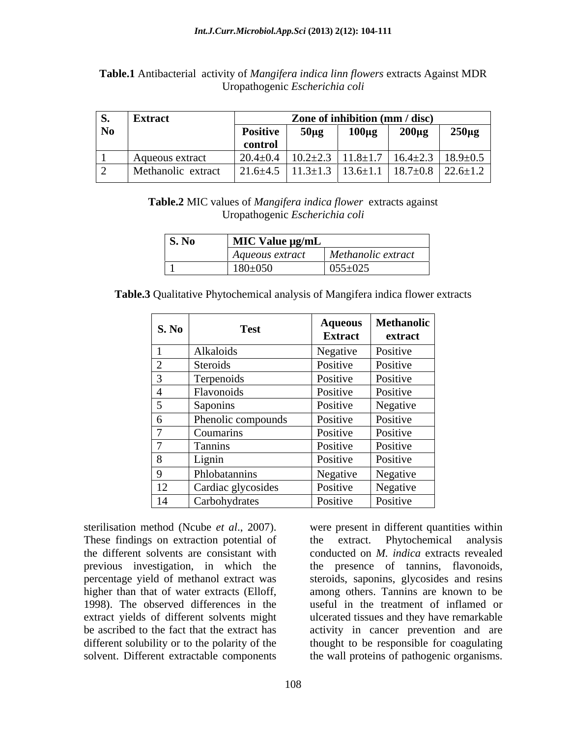| . ט-י     | <b>Extract</b>     |                       | Zone of inhibition (mm / disc) |                              |                |                |
|-----------|--------------------|-----------------------|--------------------------------|------------------------------|----------------|----------------|
| <b>No</b> |                    | <b>Positive</b>       | $50\mu g$                      | $100\mu$ g                   | $200\mu g$     | $250\mu g$     |
|           |                    | control               |                                |                              |                |                |
|           | Aqueous extract    | $20.4 \pm 0$<br>.∸∪.− | $10.2 \pm 2.3$                 | $\frac{3}{11.8}$   11.8 ± 1. | $16.4 \pm 2.3$ | $18.9 \pm 0.5$ |
|           | Methanolic extract | $21.6 \pm 4.$         | 1.2.1.2<br>$1.3 \pm 1.3$       | $3 \mid 13.6 \pm 1.$         | $18.7 \pm 0.8$ | $22.6 \pm 1.2$ |

**Table.1** Antibacterial activity of *Mangifera indica linn flowers* extracts Against MDR Uropathogenic *Escherichia coli*

> **Table.2** MIC values of *Mangifera indica flower* extracts against Uropathogenic *Escherichia coli*

| S. No | $\overline{\phantom{a}}$ MIC Value $\mu$ g/mL |                      |
|-------|-----------------------------------------------|----------------------|
|       | Aqueous extract                               | $Methanolic$ extract |
|       | $180 \pm 050$                                 | $055 \pm 025$        |

**Table.3** Qualitative Phytochemical analysis of Mangifera indica flower extracts

| S. No                       | <b>Test</b>        | <b>Aqueous</b><br><b>Extract</b> | <b>Methanolic</b><br>extract |
|-----------------------------|--------------------|----------------------------------|------------------------------|
|                             | Alkaloids          | Negative                         | Positive                     |
| $\bigcap$<br>$\overline{a}$ | Steroids           | Positive                         | Positive                     |
| 3                           | Terpenoids         | Positive                         | Positive                     |
| 4                           | Flavonoids         | Positive                         | Positive                     |
| 5                           | Saponins           | Positive                         | Negative                     |
| 6                           | Phenolic compounds | Positive                         | Positive                     |
| $\overline{ }$              | Coumarins          | Positive                         | Positive                     |
| $\overline{ }$              | Tannins            | Positive                         | Positive                     |
| 8                           | Lignin             | Positive                         | Positive                     |
| 9                           | Phlobatannins      | Negative                         | Negative                     |
| 12                          | Cardiac glycosides | Positive                         | Negative                     |
| 14                          | Carbohydrates      | Positive                         | Positive                     |

These findings on extraction potential of the extract. Phytochemical analysis extract yields of different solvents might solvent. Different extractable components the wall proteins of pathogenic organisms.

sterilisation method (Ncube *et al*., 2007). were present in different quantities within the different solvents are consistant with conducted on *M. indica* extracts revealed previous investigation, in which the the presence of tannins, flavonoids, percentage yield of methanol extract was steroids, saponins, glycosides and resins higher than that of water extracts (Elloff, among others. Tannins are known to be 1998). The observed differences in the useful in the treatment of inflamed or be ascribed to the fact that the extract has activity in cancer prevention and are different solubility or to the polarity of the thought to be responsible for coagulating the extract. Phytochemical analysis ulcerated tissues and they have remarkable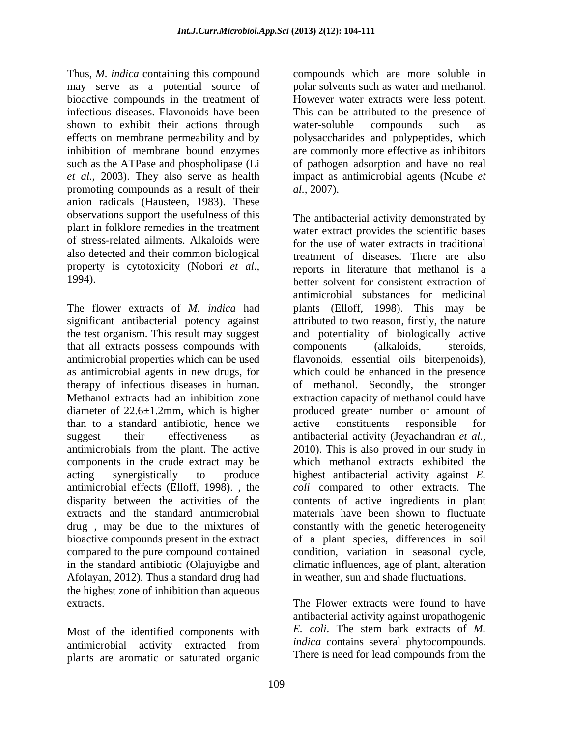Thus, *M. indica* containing this compound compounds which are more soluble in may serve as a potential source of polar solvents such as water and methanol. bioactive compounds in the treatment of However water extracts were less potent. infectious diseases. Flavonoids have been This can be attributed to the presence of shown to exhibit their actions through water-soluble compounds such as effects on membrane permeability and by polysaccharides and polypeptides, which inhibition of membrane bound enzymes are commonly more effective as inhibitors such as the ATPase and phospholipase (Li of pathogen adsorption and have no real *et al.,* 2003). They also serve as health promoting compounds as a result of their *al.*, 2007). anion radicals (Hausteen, 1983). These observations support the usefulness of this also detected and their common biological property is cytotoxicity (Nobori *et al.,*

that all extracts possess compounds with components (alkaloids, steroids, antimicrobial properties which can be used flavonoids, essential oils biterpenoids), as antimicrobial agents in new drugs, for diameter of 22.6±1.2mm, which is higher produced greater nun<br>than to a standard antibiotic, hence we active constituents than to a standard antibiotic, hence we Afolayan, 2012). Thus a standard drug had the highest zone of inhibition than aqueous extracts. The Flower extracts were found to have

antimicrobial activity extracted from plants are aromatic or saturated organic

water-soluble compounds such as impact as antimicrobial agents (Ncube *et al.,* 2007).

plant in folklore remedies in the treatment water extract provides the scientific bases of stress-related ailments. Alkaloids were for the use of water extracts in traditional 1994). The flower extracts of *M. indica* had plants (Elloff, 1998). This may be significant antibacterial potency against attributed to two reason, firstly, the nature the test organism. This result may suggest and potentiality of biologically active antimicrobial properties which can be used flavonoids, essential oils biterpenoids), therapy of infectious diseases in human. of methanol. Secondly, the stronger Methanol extracts had an inhibition zone extraction capacity of methanol could have suggest their effectiveness as antibacterial activity (Jeyachandran *et al.,* antimicrobials from the plant. The active 2010). This is also proved in our study in components in the crude extract may be which methanol extracts exhibited the acting synergistically to produce highest antibacterial activity against *E.*  antimicrobial effects (Elloff, 1998). , the *coli* compared to other extracts. The disparity between the activities of the contents of active ingredients in plant extracts and the standard antimicrobial materials have been shown to fluctuate drug, may be due to the mixtures of constantly with the genetic heterogeneity bioactive compounds present in the extract of a plant species, differences in soil compared to the pure compound contained condition, variation in seasonal cycle, in the standard antibiotic (Olajuyigbe and climatic influences, age of plant, alteration The antibacterial activity demonstrated by treatment of diseases. There are also reports in literature that methanol is a antimicrobial substances for medicinal components (alkaloids, steroids, which could be enhanced in the presence produced greater number or amount of active constituents responsible for in weather, sun and shade fluctuations.

Most of the identified components with  $E$ . *coli*. The stem bark extracts of  $M$ . antibacterial activity against uropathogenic *E. coli*. The stem bark extracts of *M. indica* contains several phytocompounds. There is need for lead compounds from the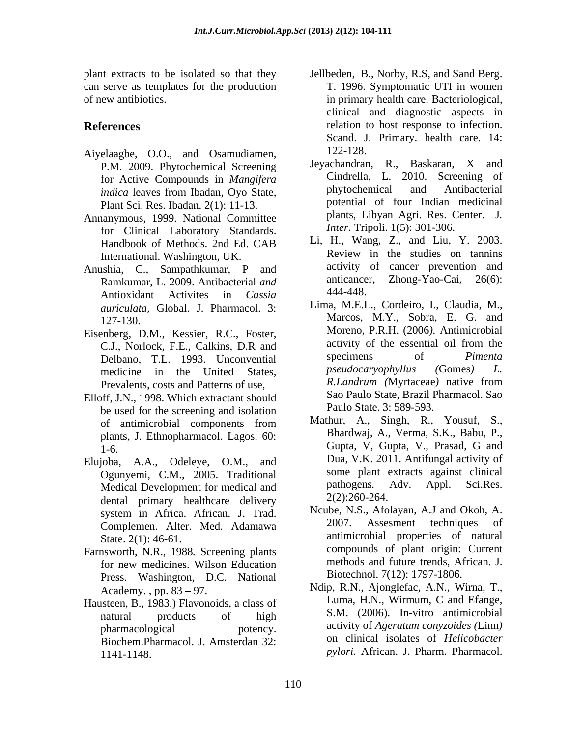can serve as templates for the production

- Aiyelaagbe, O.O., and Osamudiamen, P.M. 2009. Phytochemical Screening
- Annanymous, 1999. National Committee Plants, Libyan Agri. Res. C<br>
for Clinical Laboratory Standards *Inter*. Tripoli. 1(5): 301-306. for Clinical Laboratory Standards. International. Washington, UK.
- Anushia, C., Sampathkumar, P and activity of cancer prevention and<br>Ramkumar I 2009 Antibacterial and anticancer, Zhong-Yao-Cai, 26(6): Ramkumar, L. 2009. Antibacterial *and* anticance<br>Antioxidant Activities in *Cassia* 444-448. Antioxidant Activites in *Cassia auriculata,* Global. J. Pharmacol. 3:
- Eisenberg, D.M., Kessier, R.C., Foster, Moreno, P.R.H. (2006). Antimicropial<br>
C.J. Norlock E.E. Calkins, D.R. and activity of the essential oil from the Prevalents, costs and Patterns of use,
- Elloff, J.N., 1998. Which extractant should be used for the screening and isolation plants*,* J. Ethnopharmacol. Lagos. 60:
- Elujoba, A.A., Odeleye, O.M., and Medical Development for medical and dental primary healthcare delivery Complemen. Alter. Med*.* Adamawa
- Farnsworth, N.R., 1988*.* Screening plants Press. Washington, D.C. National
- Hausteen, B., 1983.) Flavonoids, a class of Biochem.Pharmacol. J. Amsterdan 32: 1141-1148. *pylori.* African. J. Pharm. Pharmacol.
- plant extracts to be isolated so that they Jellbeden, B., Norby, R.S, and Sand Berg. of new antibiotics. in primary health care. Bacteriological, **References** relation to host response to infection. T. 1996. Symptomatic UTI in women clinical and diagnostic aspects in Scand. J. Primary. health care. 14: 122-128.
	- for Active Compounds in *Mangifera* Cindrella, L. 2010. Screening of Cindica leaves from Ibadan Ovo State and *Phytochemical* and *Antibacterial indica* leaves from Ibadan, Oyo State, **phytochemical** and Antibacterial Plant Sci. Res. Ibadan. 2(1): 11-13. [20] potential of four Indian medicinal<br>Propositional Committee plants, Libyan Agri. Res. Center. J. Jeyachandran, R., Baskaran, X and Cindrella, L. 2010. Screening of phytochemical and Antibacterial potential of four Indian medicinal plants, Libyan Agri. Res. Center. <sup>J</sup>*. Inter.* Tripoli. 1(5): 301-306.
	- Handbook of Methods. 2nd Ed. CAB L1, H., Wang, Z., and L1u, Y. 2003.<br>International Weshington LIK Review in the studies on tanning Li, H., Wang, Z., and Liu, Y. 2003. Review in the studies on tannins activity of cancer prevention and Zhong-Yao-Cai, 444-448.
	- 127-130. Marcos, M.Y., Sobra, E. G. and C.J., Norlock, F.E., Calkins, D.R and activity of the essential oil from the Delbano T.I. 1993 Hnconvential specimens of *Pimenta* Delbano, T.L. 1993. Unconvential specimens of *Pimenta*<br>medicine in the United States *pseudocaryophyllus* (Gomes) L. medicine in the United States, *pseudocaryophyllus* (Gomes) *L*.<br>Prevalents costs and Patterns of use R.*Landrum* (Myrtaceae) native from Lima, M.E.L., Cordeiro, I., Claudia, M., Moreno, P.R.H. (2006*).* Antimicrobial activity of the essential oil from the specimens of *Pimenta pseudocaryophyllus (*Gomes*) L. R.Landrum (*Myrtaceae*)* native from Sao Paulo State, Brazil Pharmacol. Sao Paulo State. 3: 589-593.
	- of antimicrobial components from Mathur, A., Singh, R., Yousuf, S., The Coupta, V, Gupta, V., Prasad, G and 1-6. Ogunyemi, C.M., 2005. Traditional some plant extracts against clinical<br>Medical Development for medical and pathogens. Adv. Appl. Sci.Res. Mathur, A., Singh, R., Yousuf, S., Bhardwaj, A., Verma, S.K., Babu, P., Gupta, V, Gupta, V., Prasad, G and Dua, V.K. 2011. Antifungal activity of some plant extracts against clinical pathogens*.* Adv. Appl. Sci.Res. 2(2):260-264.
	- system in Africa. African. J. Trad. Neube, N.S., Atolayan, A.J and Okoh, A.<br>Complement Alter Med Adamawa 2007. Assessment techniques of State. 2(1): 46-61. **antimicrobial** properties of natural for new medicines. Wilson Education methods and future trends, African. J. Ncube, N.S., Afolayan, A.J and Okoh, A. 2007. Assesment techniques compounds of plant origin: Current methods and future trends, African. J. Biotechnol. 7(12): 1797-1806.
	- Academy., pp. 83 97. Ndip, R.N., Ajonglefac, A.N., Wirna, T., natural products of high S.M. (2006). In-vitro-antimicrobial pharmacological potency. activity of *Ageratum conyzoides (Linn)*  $\overline{\phantom{a}}$ Luma, H.N., Wirmum, C and Efange, S.M. (2006). In-vitro antimicrobial on clinical isolates of *Helicobacter*